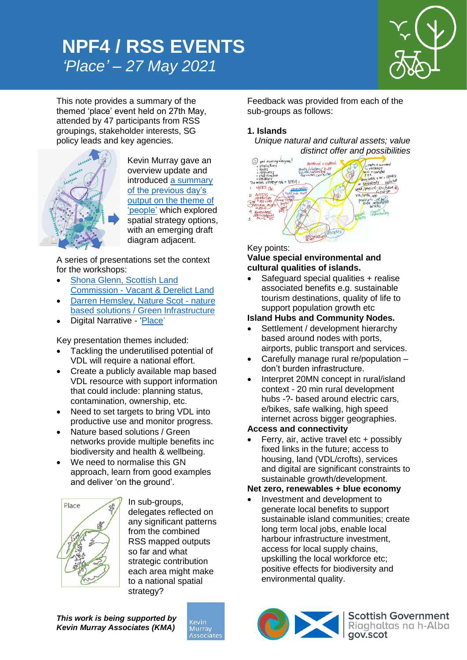# *'Place' – 27 May 2021* **NPF4 / RSS EVENTS**



This note provides a summary of the themed 'place' event held on 27th May, attended by 47 participants from RSS groupings, stakeholder interests, SG policy leads and key agencies.



Kevin Murray gave an overview update and introduced [a summary](https://kmaglasgow-my.sharepoint.com/:v:/g/personal/rim_kevinmurrayassociates_com/ES2CyrZpIEhFjXlxCQ4SQ9cBP33pEyPe7UvovU7VdrzM7w?e=6EtkAu)  [of the previous day's](https://kmaglasgow-my.sharepoint.com/:v:/g/personal/rim_kevinmurrayassociates_com/ES2CyrZpIEhFjXlxCQ4SQ9cBP33pEyPe7UvovU7VdrzM7w?e=6EtkAu)  [output on the theme of](https://kmaglasgow-my.sharepoint.com/:v:/g/personal/rim_kevinmurrayassociates_com/ES2CyrZpIEhFjXlxCQ4SQ9cBP33pEyPe7UvovU7VdrzM7w?e=6EtkAu)  ['people'](https://kmaglasgow-my.sharepoint.com/:v:/g/personal/rim_kevinmurrayassociates_com/ES2CyrZpIEhFjXlxCQ4SQ9cBP33pEyPe7UvovU7VdrzM7w?e=6EtkAu) which explored spatial strategy options, with an emerging draft diagram adjacent.

A series of presentations set the context for the workshops:

- [Shona Glenn, Scottish Land](https://kmaglasgow-my.sharepoint.com/:v:/g/personal/rim_kevinmurrayassociates_com/EUOzVaEatHpGiuNnPcnfK7kBiqDujl7yLzaM0OeZmkmQkQ?e=OaKRsY)  Commission - [Vacant & Derelict Land](https://kmaglasgow-my.sharepoint.com/:v:/g/personal/rim_kevinmurrayassociates_com/EUOzVaEatHpGiuNnPcnfK7kBiqDujl7yLzaM0OeZmkmQkQ?e=OaKRsY)
- [Darren Hemsley, Nature Scot -](https://kmaglasgow-my.sharepoint.com/:v:/g/personal/rim_kevinmurrayassociates_com/EcbBEyXCXvlHvkejnewPJ5MBsQuDvPjga8b0x37B-nCheQ?e=KfAacP) nature [based solutions / Green Infrastructure](https://kmaglasgow-my.sharepoint.com/:v:/g/personal/rim_kevinmurrayassociates_com/EcbBEyXCXvlHvkejnewPJ5MBsQuDvPjga8b0x37B-nCheQ?e=KfAacP)
- Digital Narrative ['Place'](https://kmaglasgow-my.sharepoint.com/:v:/g/personal/rim_kevinmurrayassociates_com/Ed975f8z_DxOv9Blvltd5e4Bjl1baun1Xq_aVwDyCnsVqQ?e=5crnBg)

Key presentation themes included:

- Tackling the underutilised potential of VDL will require a national effort.
- Create a publicly available map based VDL resource with support information that could include: planning status, contamination, ownership, etc.
- Need to set targets to bring VDL into productive use and monitor progress.
- Nature based solutions / Green networks provide multiple benefits inc biodiversity and health & wellbeing.
- We need to normalise this GN approach, learn from good examples and deliver 'on the ground'.



In sub-groups, delegates reflected on any significant patterns from the combined RSS mapped outputs so far and what strategic contribution each area might make to a national spatial strategy?

*This work is being supported by Kevin Murray Associates (KMA)*



Feedback was provided from each of the sub-groups as follows:

# **1. Islands**

*Unique natural and cultural assets; value* 



Key points:

### **Value special environmental and cultural qualities of islands.**

 Safeguard special qualities + realise associated benefits e.g. sustainable tourism destinations, quality of life to support population growth etc

# **Island Hubs and Community Nodes.**

- Settlement / development hierarchy based around nodes with ports, airports, public transport and services.
- Carefully manage rural re/population don't burden infrastructure.
- Interpret 20MN concept in rural/island context - 20 min rural development hubs -?- based around electric cars, e/bikes, safe walking, high speed internet across bigger geographies.

# **Access and connectivity**

 Ferry, air, active travel etc + possibly fixed links in the future; access to housing, land (VDL/crofts), services and digital are significant constraints to sustainable growth/development.

# **Net zero, renewables + blue economy**

 Investment and development to generate local benefits to support sustainable island communities; create long term local jobs, enable local harbour infrastructure investment, access for local supply chains, upskilling the local workforce etc; positive effects for biodiversity and environmental quality.



Scottish Government<br>Riaghaltas na h-Alba<br>gov.scot